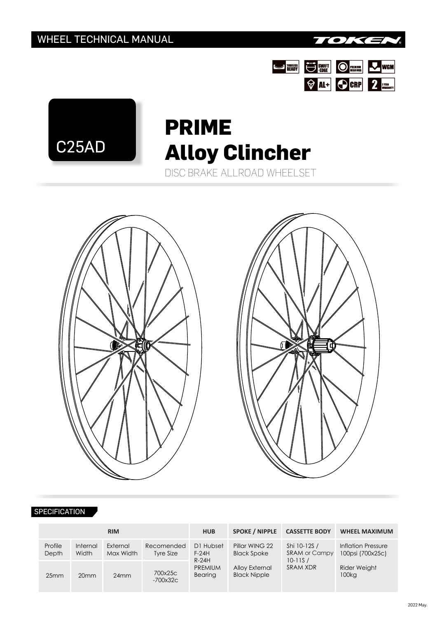









## **SPECIFICATION**

| <b>RIM</b>       |                   |                       |                         | <b>HUB</b>                                                   | <b>SPOKE / NIPPLE</b>                 | <b>CASSETTE BODY</b>                                                   | <b>WHEEL MAXIMUM</b>                   |  |
|------------------|-------------------|-----------------------|-------------------------|--------------------------------------------------------------|---------------------------------------|------------------------------------------------------------------------|----------------------------------------|--|
| Profile<br>Depth | Internal<br>Width | External<br>Max Width | Recomended<br>Tyre Size | D1 Hubset<br>$F-24H$<br>$R-24H$<br><b>PREMIUM</b><br>Bearing | Pillar WING 22<br><b>Black Spoke</b>  | Shi 10-12S /<br><b>SRAM or Campy</b><br>$10 - 11S/$<br><b>SRAM XDR</b> | Inflation Pressure<br>100psi (700x25c) |  |
| 25mm             | 20 <sub>mm</sub>  | 24mm                  | 700x25c<br>$-700x32c$   |                                                              | Alloy External<br><b>Black Nipple</b> |                                                                        | <b>Rider Weight</b><br>100kg           |  |